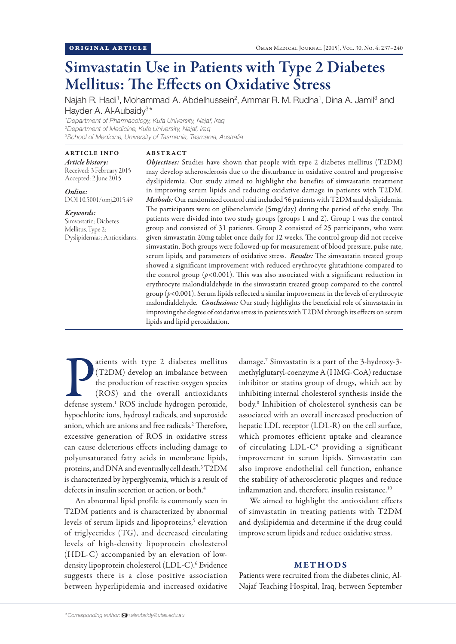# Simvastatin Use in Patients with Type 2 Diabetes Mellitus: The Effects on Oxidative Stress

Najah R. Hadi<sup>1</sup>, Mohammad A. Abdelhussein<sup>2</sup>, Ammar R. M. Rudha<sup>1</sup>, Dina A. Jamil<sup>3</sup> and Hayder A. Al-Aubaidy<sup>3\*</sup>

*1 Department of Pharmacology, Kufa University, Najaf, Iraq 2 Department of Medicine, Kufa University, Najaf, Iraq 3 School of Medicine, University of Tasmania, Tasmania, Australia*

ABSTRACT

ARTICLE INFO *Article history:*  Received: 3 February 2015 Accepted: 2 June 2015

*Online:* DOI 10.5001/omj.2015.49

*Keywords:* 

Simvastatin; Diabetes Mellitus, Type 2; Dyslipidemias; Antioxidants. *Objectives:* Studies have shown that people with type 2 diabetes mellitus (T2DM) may develop atherosclerosis due to the disturbance in oxidative control and progressive dyslipidemia. Our study aimed to highlight the benefits of simvastatin treatment in improving serum lipids and reducing oxidative damage in patients with T2DM. *Methods:* Our randomized control trial included 56 patients with T2DM and dyslipidemia. The participants were on glibenclamide (5mg/day) during the period of the study. The patients were divided into two study groups (groups 1 and 2). Group 1 was the control group and consisted of 31 patients. Group 2 consisted of 25 participants, who were given simvastatin 20mg tablet once daily for 12 weeks. The control group did not receive simvastatin. Both groups were followed-up for measurement of blood pressure, pulse rate, serum lipids, and parameters of oxidative stress. *Results:* The simvastatin treated group showed a significant improvement with reduced erythrocyte glutathione compared to the control group  $(p<0.001)$ . This was also associated with a significant reduction in erythrocyte malondialdehyde in the simvastatin treated group compared to the control group (*p*<0.001). Serum lipids reflected a similar improvement in the levels of erythrocyte malondialdehyde. *Conclusions:* Our study highlights the beneficial role of simvastatin in improving the degree of oxidative stress in patients with T2DM through its effects on serum lipids and lipid peroxidation.

atients with type 2 diabetes mellitus (T2DM) develop an imbalance between the production of reactive oxygen species (ROS) and the overall antioxidants defense system.<sup>1</sup> ROS include hydrogen peroxide, atients with type 2 diabetes mellitus (T2DM) develop an imbalance between the production of reactive oxygen species (ROS) and the overall antioxidants hypochlorite ions, hydroxyl radicals, and superoxide anion, which are anions and free radicals.<sup>2</sup> Therefore, excessive generation of ROS in oxidative stress can cause deleterious effects including damage to polyunsaturated fatty acids in membrane lipids, proteins, and DNA and eventually cell death.3 T2DM is characterized by hyperglycemia, which is a result of defects in insulin secretion or action, or both.<sup>4</sup>

An abnormal lipid profile is commonly seen in T2DM patients and is characterized by abnormal levels of serum lipids and lipoproteins,<sup>5</sup> elevation of triglycerides (TG), and decreased circulating levels of high-density lipoprotein cholesterol (HDL-C) accompanied by an elevation of lowdensity lipoprotein cholesterol (LDL-C).6 Evidence suggests there is a close positive association between hyperlipidemia and increased oxidative

damage.7 Simvastatin is a part of the 3-hydroxy-3 methylglutaryl-coenzyme A (HMG-CoA) reductase inhibitor or statins group of drugs, which act by inhibiting internal cholesterol synthesis inside the body.8 Inhibition of cholesterol synthesis can be associated with an overall increased production of hepatic LDL receptor (LDL-R) on the cell surface, which promotes efficient uptake and clearance of circulating LDL-C9 providing a significant improvement in serum lipids. Simvastatin can also improve endothelial cell function, enhance the stability of atherosclerotic plaques and reduce inflammation and, therefore, insulin resistance.<sup>10</sup>

We aimed to highlight the antioxidant effects of simvastatin in treating patients with T2DM and dyslipidemia and determine if the drug could improve serum lipids and reduce oxidative stress.

## METHODS

Patients were recruited from the diabetes clinic, Al-Najaf Teaching Hospital, Iraq, between September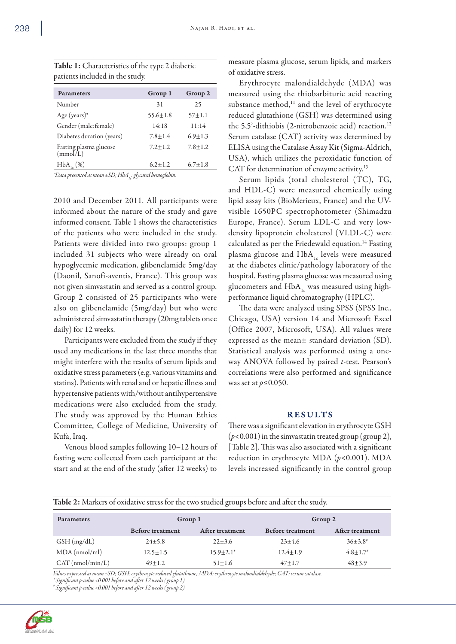| Group 1       | Group 2       |  |  |  |  |
|---------------|---------------|--|--|--|--|
| 31            | 25            |  |  |  |  |
| $55.6 + 1.8$  | $57 + 1.1$    |  |  |  |  |
| 14:18         | 11:14         |  |  |  |  |
| $7.8 \pm 1.4$ | $6.9 + 1.3$   |  |  |  |  |
| $7.2 \pm 1.2$ | $7.8 \pm 1.2$ |  |  |  |  |
| $6.2 + 1.2$   | $6.7 \pm 1.8$ |  |  |  |  |
|               |               |  |  |  |  |

Table 1: Characteristics of the type 2 diabetic patients included in the study.

*\*Data presented as mean ±SD; HbA1c: glycated hemoglobin.*

2010 and December 2011. All participants were informed about the nature of the study and gave informed consent. Table 1 shows the characteristics of the patients who were included in the study. Patients were divided into two groups: group 1 included 31 subjects who were already on oral hypoglycemic medication, glibenclamide 5mg/day (Daonil, Sanofi-aventis, France). This group was not given simvastatin and served as a control group. Group 2 consisted of 25 participants who were also on glibenclamide (5mg/day) but who were administered simvastatin therapy (20mg tablets once daily) for 12 weeks.

Participants were excluded from the study if they used any medications in the last three months that might interfere with the results of serum lipids and oxidative stress parameters (e.g. various vitamins and statins). Patients with renal and or hepatic illness and hypertensive patients with/without antihypertensive medications were also excluded from the study. The study was approved by the Human Ethics Committee, College of Medicine, University of Kufa, Iraq.

Venous blood samples following 10–12 hours of fasting were collected from each participant at the start and at the end of the study (after 12 weeks) to

measure plasma glucose, serum lipids, and markers of oxidative stress.

Erythrocyte malondialdehyde (MDA) was measured using the thiobarbituric acid reacting substance method,<sup>11</sup> and the level of erythrocyte reduced glutathione (GSH) was determined using the 5,5'-dithiobis (2-nitrobenzoic acid) reaction.<sup>12</sup> Serum catalase (CAT) activity was determined by ELISA using the Catalase Assay Kit (Sigma-Aldrich, USA), which utilizes the peroxidatic function of CAT for determination of enzyme activity.<sup>13</sup>

Serum lipids (total cholesterol (TC), TG, and HDL-C) were measured chemically using lipid assay kits (BioMerieux, France) and the UVvisible 1650PC spectrophotometer (Shimadzu Europe, France). Serum LDL-C and very lowdensity lipoprotein cholesterol (VLDL-C) were calculated as per the Friedewald equation.14 Fasting plasma glucose and  $HbA_{1c}$  levels were measured at the diabetes clinic/pathology laboratory of the hospital. Fasting plasma glucose was measured using glucometers and  $HbA_{1c}$  was measured using highperformance liquid chromatography (HPLC).

The data were analyzed using SPSS (SPSS Inc., Chicago, USA) version 14 and Microsoft Excel (Office 2007, Microsoft, USA). All values were expressed as the mean± standard deviation (SD). Statistical analysis was performed using a oneway ANOVA followed by paired *t*-test. Pearson's correlations were also performed and significance was set at *p*≤0.050.

## **RESULTS**

There was a significant elevation in erythrocyte GSH (*p*<0.001) in the simvastatin treated group (group 2), [Table 2]. This was also associated with a significant reduction in erythrocyte MDA (*p*<0.001). MDA levels increased significantly in the control group

| Table 2: Markers of oxidative stress for the two studied groups before and after the study. |  |  |  |
|---------------------------------------------------------------------------------------------|--|--|--|
|---------------------------------------------------------------------------------------------|--|--|--|

| <b>Parameters</b>  | Group 1                 |                 | Group 2                 |                 |
|--------------------|-------------------------|-----------------|-------------------------|-----------------|
|                    | <b>Before treatment</b> | After treatment | <b>Before treatment</b> | After treatment |
| GSH(mg/dL)         | $24 \pm 5.8$            | $22 \pm 3.6$    | $23+4.6$                | $36+3.8^*$      |
| $MDA$ (nmol/ml)    | $12.5 \pm 1.5$          | $15.9 + 2.1*$   | $12.4 \pm 1.9$          | $4.8 + 1.7$     |
| $CAT$ (nmol/min/L) | $49+1.2$                | $51 + 1.6$      | $47+1.7$                | $48 + 3.9$      |

*Values expressed as mean ±SD; GSH: erythrocyte reduced glutathione; MDA: erythrocyte malondialdehyde; CAT: serum catalase.*

*\* Significant p-value <0.001 before and after 12 weeks (group 1)*

*# Significant p-value <0.001 before and after 12 weeks (group 2)*

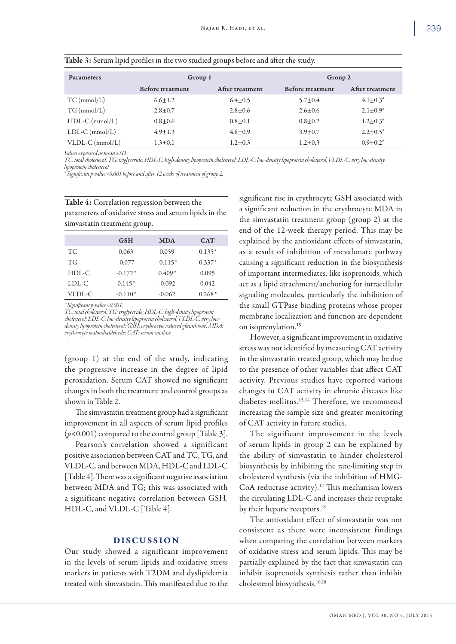|                   |                         | $\cdot$         |                         |                        |
|-------------------|-------------------------|-----------------|-------------------------|------------------------|
| <b>Parameters</b> | Group 1                 |                 | Group 2                 |                        |
|                   | <b>Before treatment</b> | After treatment | <b>Before treatment</b> | <b>After treatment</b> |
| $TC \, (mmol/L)$  | $6.6 \pm 1.2$           | $6.4 \pm 0.5$   | $5.7 + 0.4$             | $4.1 \pm 0.3^*$        |
| $TG \, (mmol/L)$  | $2.8 \pm 0.7$           | $2.8 + 0.6$     | $2.6 \pm 0.6$           | $2.1 \pm 0.9^*$        |
| $HDL-C$ (mmol/L)  | $0.8 \pm 0.6$           | $0.8 + 0.1$     | $0.8 + 0.2$             | $1.2 \pm 0.3^*$        |
| $LDL-C (mmol/L)$  | $4.9 \pm 1.3$           | $4.8 + 0.9$     | $3.9 \pm 0.7$           | $2.2 \pm 0.5^*$        |
| $VLDL-C$ (mmol/L) | $1.3 \pm 0.1$           | $1.2 + 0.3$     | $1.2 \pm 0.3$           | $0.9 + 0.2$            |

| Table 3: Serum lipid profiles in the two studied groups before and after the study. |  |  |  |  |
|-------------------------------------------------------------------------------------|--|--|--|--|
|                                                                                     |  |  |  |  |

*Values expressed as mean ±SD.* 

*TC: total cholesterol; TG: triglyceride; HDL-C: high-density lipoprotein cholesterol; LDL-C: low-density lipoprotein cholesterol; VLDL-C: very low-density lipoprotein cholesterol.*

*# Significant p-value <0.001 before and after 12 weeks of treatment of group 2.*

| Table 4: Correlation regression between the            |
|--------------------------------------------------------|
| parameters of oxidative stress and serum lipids in the |
| simvastatin treatment group.                           |

|           | <b>GSH</b> | <b>MDA</b> | CAT      |
|-----------|------------|------------|----------|
| TC        | 0.063      | 0.059      | $0.135*$ |
| <b>TG</b> | $-0.077$   | $-0.115*$  | $0.337*$ |
| $HDL-C$   | $-0.172*$  | $0.409*$   | 0.095    |
| LDL-C     | $0.145*$   | $-0.092$   | 0.042    |
| VLDL-C    | $-0.110*$  | $-0.062$   | $0.268*$ |

*\* Significant p-value <0.001;* 

*TC: total cholesterol; TG: triglyceride; HDL-C: high-density lipoprotein cholesterol; LDL-C: low-density lipoprotein cholesterol; VLDL-C: very lowdensity lipoprotein cholesterol; GSH: erythrocyte reduced glutathione; MDA: erythrocyte malondialdehyde; CAT: serum catalase.*

(group 1) at the end of the study, indicating the progressive increase in the degree of lipid peroxidation. Serum CAT showed no significant changes in both the treatment and control groups as shown in Table 2.

The simvastatin treatment group had a significant improvement in all aspects of serum lipid profiles (*p*<0.001) compared to the control group [Table 3].

Pearson's correlation showed a significant positive association between CAT and TC, TG, and VLDL-C, and between MDA, HDL-C and LDL-C [Table 4]. There was a significant negative association between MDA and TG; this was associated with a significant negative correlation between GSH, HDL-C, and VLDL-C [Table 4].

### DISCUSSION

Our study showed a significant improvement in the levels of serum lipids and oxidative stress markers in patients with T2DM and dyslipidemia treated with simvastatin. This manifested due to the significant rise in erythrocyte GSH associated with a significant reduction in the erythrocyte MDA in the simvastatin treatment group (group 2) at the end of the 12-week therapy period. This may be explained by the antioxidant effects of simvastatin, as a result of inhibition of mevalonate pathway causing a significant reduction in the biosynthesis of important intermediates, like isoprenoids, which act as a lipid attachment/anchoring for intracellular signaling molecules, particularly the inhibition of the small GTPase binding proteins whose proper membrane localization and function are dependent on isoprenylation.15

However, a significant improvement in oxidative stress was not identified by measuring CAT activity in the simvastatin treated group, which may be due to the presence of other variables that affect CAT activity. Previous studies have reported various changes in CAT activity in chronic diseases like diabetes mellitus.15,16 Therefore, we recommend increasing the sample size and greater monitoring of CAT activity in future studies.

The significant improvement in the levels of serum lipids in group 2 can be explained by the ability of simvastatin to hinder cholesterol biosynthesis by inhibiting the rate-limiting step in cholesterol synthesis (via the inhibition of HMG-CoA reductase activity).<sup>17</sup> This mechanism lowers the circulating LDL-C and increases their reuptake by their hepatic receptors.<sup>18</sup>

The antioxidant effect of simvastatin was not consistent as there were inconsistent findings when comparing the correlation between markers of oxidative stress and serum lipids. This may be partially explained by the fact that simvastatin can inhibit isoprenoids synthesis rather than inhibit cholesterol biosynthesis.10,18